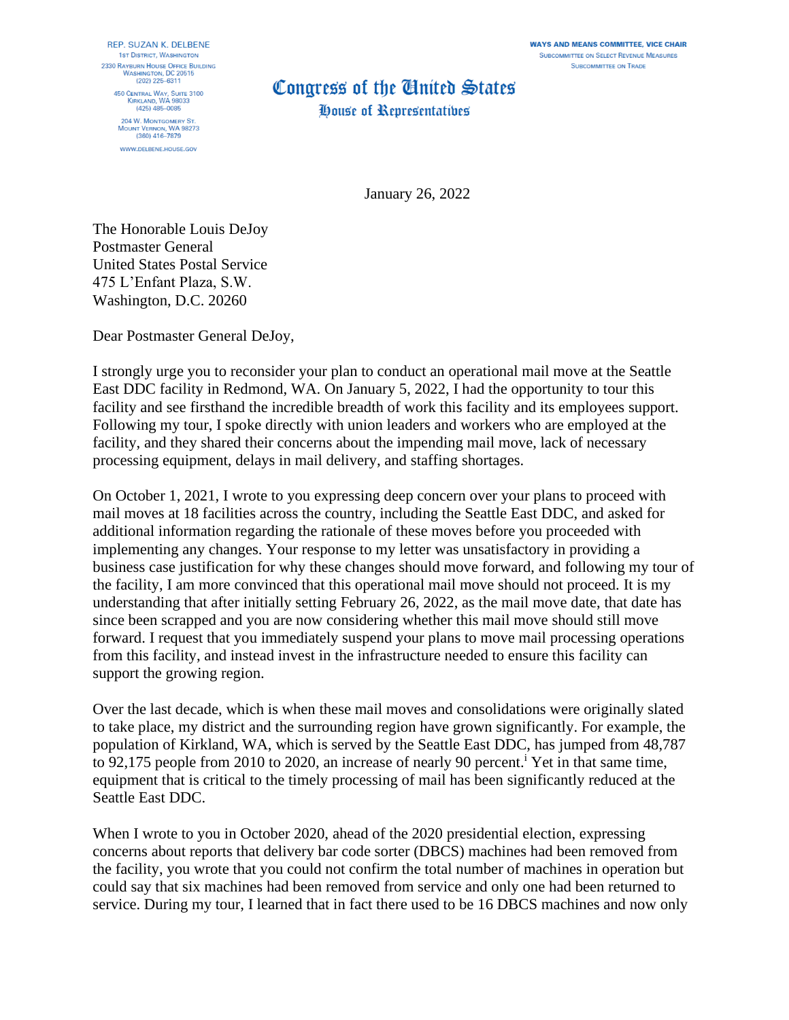**WAYS AND MEANS COMMITTEE, VICE CHAIR SUBCOMMITTEE ON SELECT REVENUE MEASURES SUBCOMMITTEE ON TRADE** 

REP. SUZAN K. DELBENE **1ST DISTRICT, WASHINGTON** 2330 RAYBURN HOUSE OFFICE BUILDING **WASHINGTON, DC 20515** (202) 225-6311 **450 CENTRAL WAY, SUITE 3100** KIRKLAND, WA 98033  $(425)$   $485 - 0085$ 204 W. MONTGOMERY ST.

MOUNT VERNON, WA 98273<br>(360) 416-7879 WWW.DELBENE.HOUSE.GOV

## Congress of the United States

House of Representatives

January 26, 2022

The Honorable Louis DeJoy Postmaster General United States Postal Service 475 L'Enfant Plaza, S.W. Washington, D.C. 20260

Dear Postmaster General DeJoy,

I strongly urge you to reconsider your plan to conduct an operational mail move at the Seattle East DDC facility in Redmond, WA. On January 5, 2022, I had the opportunity to tour this facility and see firsthand the incredible breadth of work this facility and its employees support. Following my tour, I spoke directly with union leaders and workers who are employed at the facility, and they shared their concerns about the impending mail move, lack of necessary processing equipment, delays in mail delivery, and staffing shortages.

On October 1, 2021, I wrote to you expressing deep concern over your plans to proceed with mail moves at 18 facilities across the country, including the Seattle East DDC, and asked for additional information regarding the rationale of these moves before you proceeded with implementing any changes. Your response to my letter was unsatisfactory in providing a business case justification for why these changes should move forward, and following my tour of the facility, I am more convinced that this operational mail move should not proceed. It is my understanding that after initially setting February 26, 2022, as the mail move date, that date has since been scrapped and you are now considering whether this mail move should still move forward. I request that you immediately suspend your plans to move mail processing operations from this facility, and instead invest in the infrastructure needed to ensure this facility can support the growing region.

Over the last decade, which is when these mail moves and consolidations were originally slated to take place, my district and the surrounding region have grown significantly. For example, the population of Kirkland, WA, which is served by the Seattle East DDC, has jumped from 48,787 to 92,175 people from 2010 to 2020, an increase of nearly 90 percent.<sup>i</sup> Yet in that same time, equipment that is critical to the timely processing of mail has been significantly reduced at the Seattle East DDC.

When I wrote to you in October 2020, ahead of the 2020 presidential election, expressing concerns about reports that delivery bar code sorter (DBCS) machines had been removed from the facility, you wrote that you could not confirm the total number of machines in operation but could say that six machines had been removed from service and only one had been returned to service. During my tour, I learned that in fact there used to be 16 DBCS machines and now only